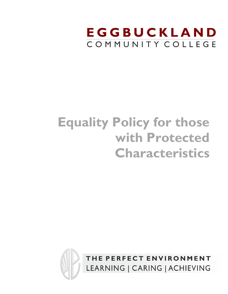# EGGBUCKLAND COMMUNITY COLLEGE

# **Equality Policy for those with Protected Characteristics**



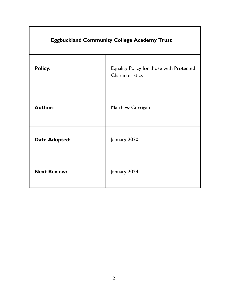| <b>Eggbuckland Community College Academy Trust</b> |                                                             |  |  |  |  |
|----------------------------------------------------|-------------------------------------------------------------|--|--|--|--|
| <b>Policy:</b>                                     | Equality Policy for those with Protected<br>Characteristics |  |  |  |  |
| <b>Author:</b>                                     | Matthew Corrigan                                            |  |  |  |  |
| <b>Date Adopted:</b>                               | January 2020                                                |  |  |  |  |
| <b>Next Review:</b>                                | January 2024                                                |  |  |  |  |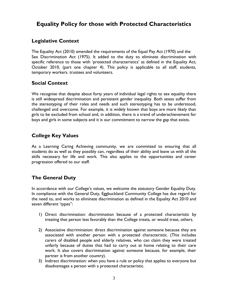# **Equality Policy for those with Protected Characteristics**

## **Legislative Context**

The Equality Act (2010) amended the requirements of the Equal Pay Act (1970) and the Sex Discrimination Act (1975). It added to the duty to eliminate discrimination with specific reference to those with 'protected characteristics' as defined in the Equality Act, October 2010, (part one chapter 4). This policy is applicable to all staff, students, temporary workers. trustees and volunteers.

# **Social Context**

We recognise that despite about forty years of individual legal rights to sex equality there is still widespread discrimination and persistent gender inequality. Both sexes suffer from the stereotyping of their roles and needs and such stereotyping has to be understood, challenged and overcome. For example, it is widely known that boys are more likely than girls to be excluded from school and, in addition, there is a trend of underachievement for boys and girls in some subjects and it is our commitment to narrow the gap that exists.

# **College Key Values**

As a Learning Caring Achieving community, we are committed to ensuring that all students do as well as they possibly can, regardless of their ability and leave us with all the skills necessary for life and work. This also applies to the opportunities and career progression offered to our staff.

# **The General Duty**

In accordance with our College's values, we welcome the statutory Gender Equality Duty. In compliance with the General Duty, Eggbuckland Community College has due regard for the need to, and works to eliminate discrimination as defined in the Equality Act 2010 and seven different 'types'':

- 1) Direct discrimination: discrimination because of a protected characteristic by treating that person less favorably than the College treats, or would treat, others.
- 2) Associative discrimination: direct discrimination against someone because they are associated with another person with a protected characteristic. (This includes carers of disabled people and elderly relatives, who can claim they were treated unfairly because of duties that had to carry out at home relating to their care work. It also covers discrimination against someone because, for example, their partner is from another country).
- 3) Indirect discrimination: when you have a rule or policy that applies to everyone but disadvantages a person with a protected characteristic.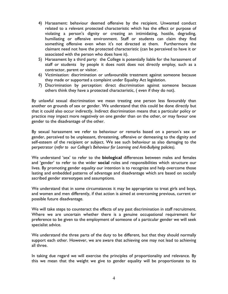- 4) Harassment: behaviour deemed offensive by the recipient. Unwanted conduct related to a relevant protected characteristic which has the effect or purpose of violating a person's dignity or creating an intimidating, hostile, degrading, humiliating or offensive environment. Staff or students can claim they find something offensive even when it's not directed at them. Furthermore the claimant need not have the protected characteristic (can be perceived to have it or associated with the person who does have it).
- 5) Harassment by a third party: the College is potentially liable for the harassment of staff or students by people it does notit does not directly employ, such as a contractor, parent or visitor.
- 6) Victimisation: discrimination or unfavourable treatment against someone because they made or supported a complaint under Equality Act legislation.
- 7) Discrimination by perception: direct discrimination against someone because others think they have a protected characteristic, ( even if they do not).

By unlawful sexual discrimination we mean treating one person less favourably than another on grounds of sex or gender. We understand that this could be done directly but that it could also occur indirectly. Indirect discrimination means that a particular policy or practice may impact more negatively on one gender than on the other, or may favour one gender to the disadvantage of the other.

By sexual harassment we refer to behaviour or remarks based on a person's sex or gender, perceived to be unpleasant, threatening, offensive or demeaning to the dignity and self-esteem of the recipient or subject. We see such behaviour as also damaging to the perpetrator (*refer to our College's Behaviour for Learning and Anti-Bullying policies).*

We understand 'sex' to refer to the **biological** differences between males and females and 'gender' to refer to the wider **social** roles and responsibilities which structure our lives. By promoting gender equality our intention is to recognize and help overcome those lasting and embedded patterns of advantage and disadvantage which are based on socially ascribed gender stereotypes and assumptions.

We understand that in some circumstances it may be appropriate to treat girls and boys, and women and men differently, if that action is aimed at overcoming previous, current or possible future disadvantage.

We will take steps to counteract the effects of any past discrimination in staff recruitment. Where we are uncertain whether there is a genuine occupational requirement for preference to be given to the employment of someone of a particular gender we will seek specialist advice.

We understand the three parts of the duty to be different, but that they should normally support each other. However, we are aware that achieving one may not lead to achieving all three.

In taking due regard we will exercise the principles of proportionality and relevance. By this we mean that the weight we give to gender equality will be proportionate to its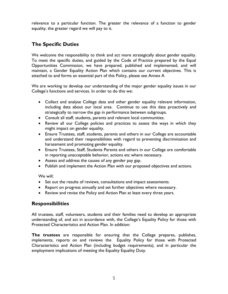relevance to a particular function. The greater the relevance of a function to gender equality, the greater regard we will pay to it.

# **The Specific Duties**

We welcome the responsibility to think and act more strategically about gender equality. To meet the specific duties, and guided by the Code of Practice prepared by the Equal Opportunities Commission, we have prepared, published and implemented, and will maintain, a Gender Equality Action Plan which contains our current objectives. This is attached to and forms an essential part of this Policy, please see Annex A

We are working to develop our understanding of the major gender equality issues in our College's functions and services. In order to do this we:

- Collect and analyse College data and other gender equality relevant information, including data about our local area. Continue to use this data proactively and strategically to narrow the gap in performance between subgroups.
- Consult all staff, students, parents and relevant local communities.
- Review all our College policies and practices to assess the ways in which they might impact on gender equality.
- Ensure Trustees, staff, students, parents and others in our College are accountable and understand their responsibilities with regard to preventing discrimination and harassment and promoting gender equality.
- Ensure Trustees, Staff, Students Parents and others in our College are comfortable in reporting unacceptable behavior, actions etc where necessary.
- Assess and address the causes of any gender pay gap.
- Publish and implement the Action Plan with our proposed objectives and actions.

We will:

- Set out the results of reviews, consultations and impact assessments.
- Report on progress annually and set further objectives where necessary.
- Review and revise the Policy and Action Plan at least every three years.

#### **Responsibilities**

All trustees, staff, volunteers, students and their families need to develop an appropriate understanding of, and act in accordance with, the College's Equality Policy for those with Protected Characteristics and Action Plan. In addition:

**The trustees** are responsible for ensuring that the College prepares, publishes, implements, reports on and reviews the Equality Policy for those with Protected Characteristics and Action Plan (including budget requirements), and in particular the employment implications of meeting the Equality Equality Duty.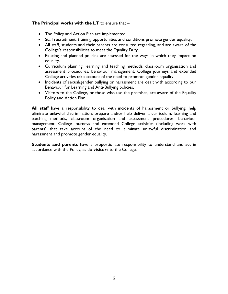#### **The Principal works with the LT** to ensure that –

- The Policy and Action Plan are implemented.
- Staff recruitment, training opportunities and conditions promote gender equality.
- All staff, students and their parents are consulted regarding, and are aware of the College's responsibilities to meet the Equality Duty.
- Existing and planned policies are assessed for the ways in which they impact on equality.
- Curriculum planning, learning and teaching methods, classroom organisation and assessment procedures, behaviour management, College journeys and extended College activities take account of the need to promote gender equality.
- Incidents of sexual/gender bullying or harassment are dealt with according to our Behaviour for Learning and Anti-Bullying policies.
- Visitors to the College, or those who use the premises, are aware of the Equality Policy and Action Plan.

**All staff** have a responsibility to deal with incidents of harassment or bullying; help eliminate unlawful discrimination; prepare and/or help deliver a curriculum, learning and teaching methods, classroom organisation and assessment procedures, behaviour management, College journeys and extended College activities (including work with parents) that take account of the need to eliminate unlawful discrimination and harassment and promote gender equality.

**Students and parents** have a proportionate responsibility to understand and act in accordance with the Policy, as do **visitors** to the College.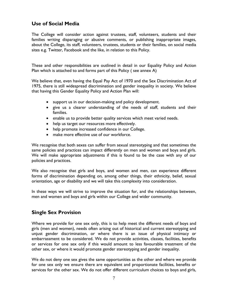## **Use of Social Media**

The College will consider action against trustees, staff, volunteers, students and their families writing disparaging or abusive comments, or publishing inappropriate images, about the College, its staff, volunteers, trustees, students or their families, on social media sites e.g. Twitter, Facebook and the like, in relation to this Policy.

These and other responsibilities are outlined in detail in our Equality Policy and Action Plan which is attached to and forms part of this Policy ( see annex A)

We believe that, even having the Equal Pay Act of 1970 and the Sex Discrimination Act of 1975, there is still widespread discrimination and gender inequality in society. We believe that having this Gender Equality Policy and Action Plan will:

- support us in our decision-making and policy development.
- give us a clearer understanding of the needs of staff, students and their families.
- enable us to provide better quality services which meet varied needs.
- help us target our resources more effectively.
- help promote increased confidence in our College.
- make more effective use of our workforce.

We recognise that both sexes can suffer from sexual stereotyping and that sometimes the same policies and practices can impact differently on men and women and boys and girls. We will make appropriate adjustments if this is found to be the case with any of our policies and practices.

We also recognise that girls and boys, and women and men, can experience different forms of discrimination depending on, among other things, their ethnicity, belief, sexual orientation, age or disability and we will take this complexity into consideration.

In these ways we will strive to improve the situation for, and the relationships between, men and women and boys and girls within our College and wider community.

#### **Single Sex Provision**

Where we provide for one sex only, this is to help meet the different needs of boys and girls (men and women), needs often arising out of historical and current stereotyping and unjust gender discrimination, or where there is an issue of physical intimacy or embarrassment to be considered. We do not provide activities, classes, facilities, benefits or services for one sex only if this would amount to less favourable treatment of the other sex, or where it would promote gender stereotyping and gender inequality.

We do not deny one sex gives the same opportunities as the other and where we provide for one sex only we ensure there are equivalent and proportionate facilities, benefits or services for the other sex. We do not offer different curriculum choices to boys and girls,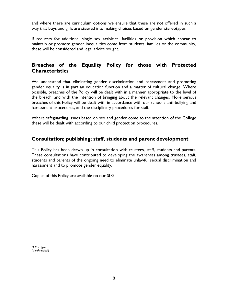and where there are curriculum options we ensure that these are not offered in such a way that boys and girls are steered into making choices based on gender stereotypes.

If requests for additional single sex activities, facilities or provision which appear to maintain or promote gender inequalities come from students, families or the community, these will be considered and legal advice sought.

# **Breaches of the Equality Policy for those with Protected Characteristics**

We understand that eliminating gender discrimination and harassment and promoting gender equality is in part an education function and a matter of cultural change. Where possible, breaches of the Policy will be dealt with in a manner appropriate to the level of the breach, and with the intention of bringing about the relevant changes. More serious breaches of this Policy will be dealt with in accordance with our school's anti-bullying and harassment procedures, and the disciplinary procedures for staff.

Where safeguarding issues based on sex and gender come to the attention of the College these will be dealt with according to our child protection procedures.

#### **Consultation; publishing; staff, students and parent development**

This Policy has been drawn up in consultation with trustees, staff, students and parents. These consultations have contributed to developing the awareness among trustees, staff, students and parents of the ongoing need to eliminate unlawful sexual discrimination and harassment and to promote gender equality.

Copies of this Policy are available on our SLG.

M Corrigan (VicePrincipal)